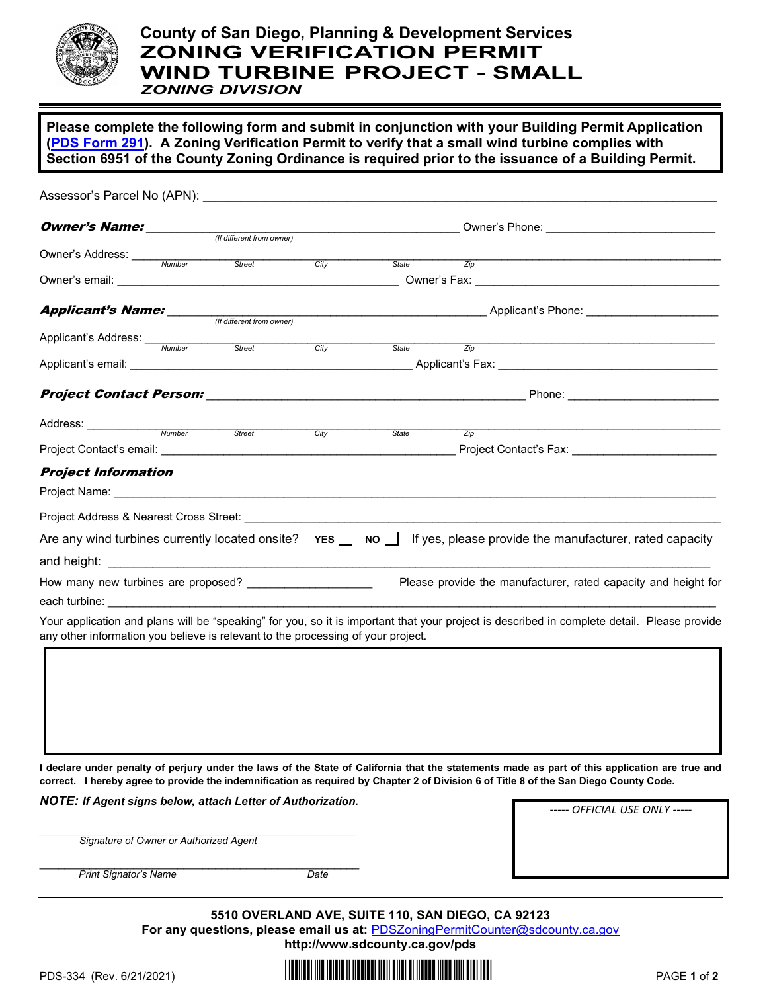

## **County of San Diego, Planning & Development Services ZONING VERIFICATION PERMIT WIND TURBINE PROJECT - SMALL**

*ZONING DIVISION*

**Please complete the following form and submit in conjunction with your Building Permit Application [\(PDS Form](https://www.sandiegocounty.gov/content/dam/sdc/pds/docs/pds291.pdf) 291). A Zoning Verification Permit to verify that a small wind turbine complies with Section 6951 of the County Zoning Ordinance is required prior to the issuance of a Building Permit.** 

| Assessor's Parcel No (APN): And the state of the state of the state of the state of the state of the state of the state of the state of the state of the state of the state of the state of the state of the state of the stat |  |  |                                                  |       |                  |                                                                                                                                             |  |
|--------------------------------------------------------------------------------------------------------------------------------------------------------------------------------------------------------------------------------|--|--|--------------------------------------------------|-------|------------------|---------------------------------------------------------------------------------------------------------------------------------------------|--|
| <b>Owner's Name:</b> <i>(If different from owner)</i>                                                                                                                                                                          |  |  | Owner's Phone: _________________________________ |       |                  |                                                                                                                                             |  |
|                                                                                                                                                                                                                                |  |  |                                                  |       |                  |                                                                                                                                             |  |
| Owner's Address: Number Street                                                                                                                                                                                                 |  |  | Citv                                             | State | Zip              |                                                                                                                                             |  |
|                                                                                                                                                                                                                                |  |  |                                                  |       |                  |                                                                                                                                             |  |
| <b>Applicant's Name:</b> <u>Consequent from owner</u>                                                                                                                                                                          |  |  |                                                  |       |                  |                                                                                                                                             |  |
|                                                                                                                                                                                                                                |  |  |                                                  |       |                  |                                                                                                                                             |  |
| Applicant's Address: Wumber Street                                                                                                                                                                                             |  |  | City                                             | State | Zip              |                                                                                                                                             |  |
|                                                                                                                                                                                                                                |  |  |                                                  |       |                  |                                                                                                                                             |  |
|                                                                                                                                                                                                                                |  |  |                                                  |       |                  |                                                                                                                                             |  |
| Address: Number Street City                                                                                                                                                                                                    |  |  |                                                  |       |                  |                                                                                                                                             |  |
|                                                                                                                                                                                                                                |  |  |                                                  | State | $\overline{Zip}$ |                                                                                                                                             |  |
| <b>Project Information</b>                                                                                                                                                                                                     |  |  |                                                  |       |                  |                                                                                                                                             |  |
|                                                                                                                                                                                                                                |  |  |                                                  |       |                  |                                                                                                                                             |  |
|                                                                                                                                                                                                                                |  |  |                                                  |       |                  |                                                                                                                                             |  |
|                                                                                                                                                                                                                                |  |  |                                                  |       |                  | Are any wind turbines currently located onsite? $YES \cup NO \cup$ If yes, please provide the manufacturer, rated capacity                  |  |
|                                                                                                                                                                                                                                |  |  |                                                  |       |                  |                                                                                                                                             |  |
| How many new turbines are proposed? ______________________                                                                                                                                                                     |  |  |                                                  |       |                  | Please provide the manufacturer, rated capacity and height for                                                                              |  |
|                                                                                                                                                                                                                                |  |  |                                                  |       |                  |                                                                                                                                             |  |
| any other information you believe is relevant to the processing of your project.                                                                                                                                               |  |  |                                                  |       |                  | Your application and plans will be "speaking" for you, so it is important that your project is described in complete detail. Please provide |  |
|                                                                                                                                                                                                                                |  |  |                                                  |       |                  |                                                                                                                                             |  |

**I declare under penalty of perjury under the laws of the State of California that the statements made as part of this application are true and correct. I hereby agree to provide the indemnification as required by Chapter 2 of Division 6 of Title 8 of the San Diego County Code.**

*NOTE: If Agent signs below, attach Letter of Authorization.*

*\_\_\_\_\_\_\_\_\_\_\_\_\_\_\_\_\_\_\_\_\_\_\_\_\_\_\_\_\_\_\_\_\_\_\_\_\_\_\_\_\_\_\_\_\_\_\_\_\_\_\_\_\_\_\_\_\_ Signature of Owner or Authorized Agent* 

*----- OFFICIAL USE ONLY -----*

\_\_\_\_\_\_\_\_\_\_\_\_\_\_\_\_\_\_\_\_\_\_\_\_\_\_\_\_\_\_\_\_\_\_\_\_\_\_\_\_\_\_\_\_\_\_\_\_\_\_\_ **Print Signator's Name Date** 

> **5510 OVERLAND AVE, SUITE 110, SAN DIEGO, CA 92123** For any questions, please email us at: **[PDSZoningPermitCounter@sdcounty.ca.gov](mailto:PDSZoningPermitCounter@sdcounty.ca.gov) <http://www.sdcounty.ca.gov/pds>**

PDS-334 (Rev. 6/21/2021) **And Experiment Later 1** of **2 PDS-334** (Rev. 6/21/2021)